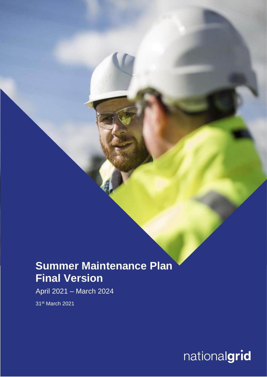## **Summer Maintenance Plan Final Version**

April 2021 – March 2024

31st March 2021

nationalgrid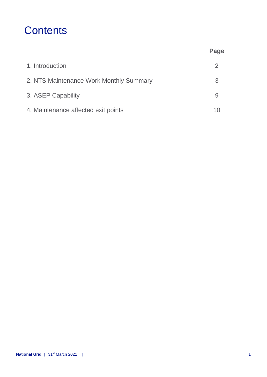## **Contents**

|                                         | Page |
|-----------------------------------------|------|
| 1. Introduction                         | 2    |
| 2. NTS Maintenance Work Monthly Summary | 3    |
| 3. ASEP Capability                      |      |
| 4. Maintenance affected exit points     |      |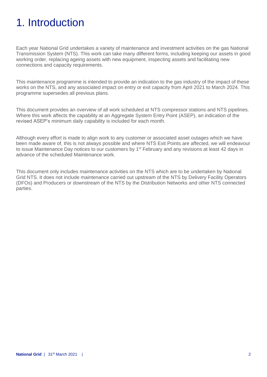# 1. Introduction

Each year National Grid undertakes a variety of maintenance and investment activities on the gas National Transmission System (NTS). This work can take many different forms, including keeping our assets in good working order, replacing ageing assets with new equipment, inspecting assets and facilitating new connections and capacity requirements.

This maintenance programme is intended to provide an indication to the gas industry of the impact of these works on the NTS, and any associated impact on entry or exit capacity from April 2021 to March 2024. This programme supersedes all previous plans.

This document provides an overview of all work scheduled at NTS compressor stations and NTS pipelines. Where this work affects the capability at an Aggregate System Entry Point (ASEP), an indication of the revised ASEP's minimum daily capability is included for each month.

Although every effort is made to align work to any customer or associated asset outages which we have been made aware of, this is not always possible and where NTS Exit Points are affected, we will endeavour to issue Maintenance Day notices to our customers by 1<sup>st</sup> February and any revisions at least 42 days in advance of the scheduled Maintenance work.

This document only includes maintenance activities on the NTS which are to be undertaken by National Grid NTS. It does not include maintenance carried out upstream of the NTS by Delivery Facility Operators (DFOs) and Producers or downstream of the NTS by the Distribution Networks and other NTS connected parties.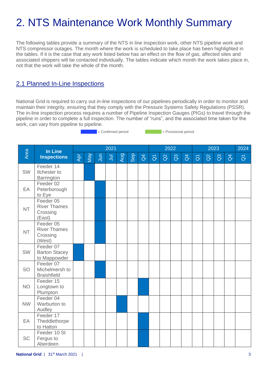# 2. NTS Maintenance Work Monthly Summary

The following tables provide a summary of the NTS in line inspection work, other NTS pipeline work and NTS compressor outages. The month where the work is scheduled to take place has been highlighted in the tables. If it is the case that any work listed below has an effect on the flow of gas, affected sites and associated shippers will be contacted individually. The tables indicate which month the work takes place in, not that the work will take the whole of the month.

## 2.1 Planned In-Line Inspections

National Grid is required to carry out in-line inspections of our pipelines periodically in order to monitor and maintain their integrity, ensuring that they comply with the Pressure Systems Safety Regulations (PSSR). The in-line inspection process requires a number of Pipeline Inspection Gauges (PIGs) to travel through the pipeline in order to complete a full inspection. The number of "runs", and the associated time taken for the work, can vary from pipeline to pipeline.

= Confirmed period = Provisional period

|           | In Line<br><b>Inspections</b>                          |     |     |                | 2021  |            |     |                |                     |          | 2022           |                |                     |          | 2023           |                | 2024                |
|-----------|--------------------------------------------------------|-----|-----|----------------|-------|------------|-----|----------------|---------------------|----------|----------------|----------------|---------------------|----------|----------------|----------------|---------------------|
| Area      |                                                        | Apr | Vay | $\overline{5}$ | $\Xi$ | <b>Aug</b> | Sep | $\overline{d}$ | $\overline{\sigma}$ | $\alpha$ | $\overline{a}$ | $\overline{d}$ | $\overline{\sigma}$ | $\alpha$ | $\overline{a}$ | $\overline{d}$ | $\overline{\sigma}$ |
| <b>SW</b> | Feeder 14<br><b>Ilchester</b> to<br>Barrington         |     |     |                |       |            |     |                |                     |          |                |                |                     |          |                |                |                     |
| EA        | Feeder 02<br>Peterborough<br>to Eye                    |     |     |                |       |            |     |                |                     |          |                |                |                     |          |                |                |                     |
| <b>NT</b> | Feeder 05<br><b>River Thames</b><br>Crossing<br>(East) |     |     |                |       |            |     |                |                     |          |                |                |                     |          |                |                |                     |
| <b>NT</b> | Feeder 05<br><b>River Thames</b><br>Crossing<br>(West) |     |     |                |       |            |     |                |                     |          |                |                |                     |          |                |                |                     |
| <b>SW</b> | Feeder 07<br><b>Barton Stacey</b><br>to Mappowder      |     |     |                |       |            |     |                |                     |          |                |                |                     |          |                |                |                     |
| <b>SO</b> | Feeder 07<br>Michelmersh to<br><b>Braishfield</b>      |     |     |                |       |            |     |                |                     |          |                |                |                     |          |                |                |                     |
| <b>NO</b> | Feeder 15<br>Longtown to<br>Plumpton                   |     |     |                |       |            |     |                |                     |          |                |                |                     |          |                |                |                     |
| <b>NW</b> | Feeder 04<br>Warburton to<br>Audley                    |     |     |                |       |            |     |                |                     |          |                |                |                     |          |                |                |                     |
| EA        | Feeder 17<br>Theddlethorpe<br>to Hatton                |     |     |                |       |            |     |                |                     |          |                |                |                     |          |                |                |                     |
| <b>SC</b> | Feeder 10 St<br>Fergus to<br>Aberdeen                  |     |     |                |       |            |     |                |                     |          |                |                |                     |          |                |                |                     |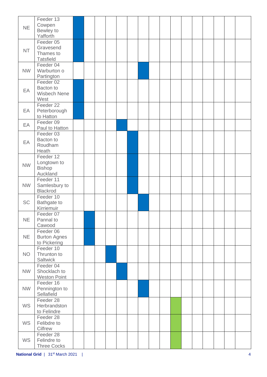|           | Feeder 13           |  |  |  |  |  |  |  |  |
|-----------|---------------------|--|--|--|--|--|--|--|--|
|           | Cowpen              |  |  |  |  |  |  |  |  |
| <b>NE</b> | Bewley to           |  |  |  |  |  |  |  |  |
|           | Yafforth            |  |  |  |  |  |  |  |  |
|           | Feeder 05           |  |  |  |  |  |  |  |  |
|           |                     |  |  |  |  |  |  |  |  |
| <b>NT</b> | Gravesend           |  |  |  |  |  |  |  |  |
|           | Thames to           |  |  |  |  |  |  |  |  |
|           | <b>Tatsfield</b>    |  |  |  |  |  |  |  |  |
|           | Feeder 04           |  |  |  |  |  |  |  |  |
| <b>NW</b> | Warburton o         |  |  |  |  |  |  |  |  |
|           | Partington          |  |  |  |  |  |  |  |  |
|           | Feeder 02           |  |  |  |  |  |  |  |  |
|           | Bacton to           |  |  |  |  |  |  |  |  |
| EA        | <b>Wisbech Nene</b> |  |  |  |  |  |  |  |  |
|           | West                |  |  |  |  |  |  |  |  |
|           |                     |  |  |  |  |  |  |  |  |
|           | Feeder 22           |  |  |  |  |  |  |  |  |
| EA        | Peterborough        |  |  |  |  |  |  |  |  |
|           | to Hatton           |  |  |  |  |  |  |  |  |
| EA        | Feeder 09           |  |  |  |  |  |  |  |  |
|           | Paul to Hatton      |  |  |  |  |  |  |  |  |
|           | Feeder 03           |  |  |  |  |  |  |  |  |
|           | Bacton to           |  |  |  |  |  |  |  |  |
| EA        | Roudham             |  |  |  |  |  |  |  |  |
|           | Heath               |  |  |  |  |  |  |  |  |
|           | Feeder 12           |  |  |  |  |  |  |  |  |
|           |                     |  |  |  |  |  |  |  |  |
| <b>NW</b> | Longtown to         |  |  |  |  |  |  |  |  |
|           | <b>Bishop</b>       |  |  |  |  |  |  |  |  |
|           | Auckland            |  |  |  |  |  |  |  |  |
|           | Feeder 11           |  |  |  |  |  |  |  |  |
| <b>NW</b> | Samlesbury to       |  |  |  |  |  |  |  |  |
|           | Blackrod            |  |  |  |  |  |  |  |  |
|           | Feeder 10           |  |  |  |  |  |  |  |  |
| <b>SC</b> | Bathgate to         |  |  |  |  |  |  |  |  |
|           | Kirriemuir          |  |  |  |  |  |  |  |  |
|           | Feeder 07           |  |  |  |  |  |  |  |  |
| <b>NE</b> | Pannal to           |  |  |  |  |  |  |  |  |
|           | Cawood              |  |  |  |  |  |  |  |  |
|           |                     |  |  |  |  |  |  |  |  |
|           | Feeder 06           |  |  |  |  |  |  |  |  |
| <b>NE</b> | <b>Burton Agnes</b> |  |  |  |  |  |  |  |  |
|           | to Pickering        |  |  |  |  |  |  |  |  |
|           | Feeder 10           |  |  |  |  |  |  |  |  |
| <b>NO</b> | Thrunton to         |  |  |  |  |  |  |  |  |
|           | <b>Saltwick</b>     |  |  |  |  |  |  |  |  |
|           | Feeder 04           |  |  |  |  |  |  |  |  |
| <b>NW</b> | Shocklach to        |  |  |  |  |  |  |  |  |
|           | <b>Weston Point</b> |  |  |  |  |  |  |  |  |
|           | Feeder 16           |  |  |  |  |  |  |  |  |
| <b>NW</b> | Pennington to       |  |  |  |  |  |  |  |  |
|           |                     |  |  |  |  |  |  |  |  |
|           | Sellafield          |  |  |  |  |  |  |  |  |
|           | Feeder 28           |  |  |  |  |  |  |  |  |
| <b>WS</b> | Herbrandston        |  |  |  |  |  |  |  |  |
|           | to Felindre         |  |  |  |  |  |  |  |  |
|           | Feeder 28           |  |  |  |  |  |  |  |  |
| WS        | Felibdre to         |  |  |  |  |  |  |  |  |
|           | Cilfrew             |  |  |  |  |  |  |  |  |
|           | Feeder 28           |  |  |  |  |  |  |  |  |
| WS        | Felindre to         |  |  |  |  |  |  |  |  |
|           | <b>Three Cocks</b>  |  |  |  |  |  |  |  |  |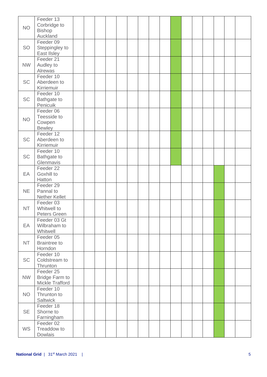| <b>NO</b> | Feeder 13<br>Corbridge to<br><b>Bishop</b><br>Auckland |  |  |  |  |  |  |  |  |
|-----------|--------------------------------------------------------|--|--|--|--|--|--|--|--|
| <b>SO</b> | Feeder 09<br>Steppingley to<br>East IIsley             |  |  |  |  |  |  |  |  |
| <b>NW</b> | Feeder 21<br>Audley to<br>Alrewas                      |  |  |  |  |  |  |  |  |
| <b>SC</b> | Feeder 10<br>Aberdeen to<br>Kirriemuir                 |  |  |  |  |  |  |  |  |
| <b>SC</b> | Feeder 10<br>Bathgate to<br>Penicuik                   |  |  |  |  |  |  |  |  |
| <b>NO</b> | Feeder 06<br>Teesside to<br>Cowpen<br><b>Bewley</b>    |  |  |  |  |  |  |  |  |
| <b>SC</b> | Feeder 12<br>Aberdeen to<br>Kirriemuir                 |  |  |  |  |  |  |  |  |
| <b>SC</b> | Feeder 10<br>Bathgate to<br>Glenmavis                  |  |  |  |  |  |  |  |  |
| EA        | Feeder 22<br>Goxhill to<br>Hatton                      |  |  |  |  |  |  |  |  |
| <b>NE</b> | Feeder 29<br>Pannal to<br>Nether Kellet                |  |  |  |  |  |  |  |  |
| <b>NT</b> | Feeder 03<br>Whitwell to<br>Peters Green               |  |  |  |  |  |  |  |  |
| EA        | Feeder 03 Gt<br>Wilbraham to<br>Whitwell               |  |  |  |  |  |  |  |  |
| <b>NT</b> | Feeder 05<br><b>Braintree to</b><br>Horndon            |  |  |  |  |  |  |  |  |
| <b>SC</b> | Feeder 10<br>Coldstream to<br>Thrunton                 |  |  |  |  |  |  |  |  |
| <b>NW</b> | Feeder 25<br><b>Bridge Farm to</b><br>Mickle Trafford  |  |  |  |  |  |  |  |  |
| <b>NO</b> | Feeder 10<br>Thrunton to<br>Saltwick                   |  |  |  |  |  |  |  |  |
| <b>SE</b> | Feeder 18<br>Shorne to<br>Farningham                   |  |  |  |  |  |  |  |  |
| <b>WS</b> | Feeder 02<br>Treaddow to<br>Dowlais                    |  |  |  |  |  |  |  |  |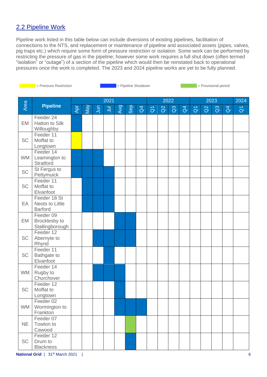## 2.2 Pipeline Work

Pipeline work listed in this table below can include diversions of existing pipelines, facilitation of connections to the NTS, and replacement or maintenance of pipeline and associated assets (pipes, valves, pig traps etc.) which require some form of pressure restriction or isolation. Some work can be performed by restricting the pressure of gas in the pipeline; however some work requires a full shut down (often termed "isolation" or "outage") of a section of the pipeline which would then be reinstated back to operational pressures once the work is completed. The 2023 and 2024 pipeline works are yet to be fully planned.

|           | = Pressure Restriction                            | = Pipeline Shutdown<br>= Provisional period |                |          |   |     |     |                |                         |          |                |                |                |          |                |                |                         |
|-----------|---------------------------------------------------|---------------------------------------------|----------------|----------|---|-----|-----|----------------|-------------------------|----------|----------------|----------------|----------------|----------|----------------|----------------|-------------------------|
|           |                                                   |                                             | 2021           |          |   |     |     |                |                         |          | 2022           |                | 2023           |          |                |                | 2024                    |
| Area      | <b>Pipeline</b>                                   | Apr                                         | $\mathsf{Man}$ | <b>E</b> | ミ | Aug | Sep | $\overline{d}$ | $\overline{\texttt{o}}$ | $\alpha$ | $\overline{a}$ | $\overline{d}$ | $\overline{O}$ | $\alpha$ | $\mathbb{S}^3$ | $\overline{d}$ | $\overline{\mathsf{d}}$ |
| EM        | Feeder 24<br><b>Hatton to Silk</b><br>Willoughby  |                                             |                |          |   |     |     |                |                         |          |                |                |                |          |                |                |                         |
| SC        | Feeder 11<br>Moffat to<br>Longtown                |                                             |                |          |   |     |     |                |                         |          |                |                |                |          |                |                |                         |
| <b>WM</b> | Feeder 14<br>Leamington to<br>Stratford           |                                             |                |          |   |     |     |                |                         |          |                |                |                |          |                |                |                         |
| <b>SC</b> | St Fergus to<br>Pettymuick                        |                                             |                |          |   |     |     |                |                         |          |                |                |                |          |                |                |                         |
| <b>SC</b> | Feeder 11<br>Moffat to<br>Elvanfoot               |                                             |                |          |   |     |     |                |                         |          |                |                |                |          |                |                |                         |
| EA        | Feeder 18 St<br>Neots to Little<br><b>Barford</b> |                                             |                |          |   |     |     |                |                         |          |                |                |                |          |                |                |                         |
| EM        | Feeder 09<br>Brocklesby to<br>Stallingborough     |                                             |                |          |   |     |     |                |                         |          |                |                |                |          |                |                |                         |
| <b>SC</b> | Feeder 12<br>Abernyte to<br>Rhynd                 |                                             |                |          |   |     |     |                |                         |          |                |                |                |          |                |                |                         |
| <b>SC</b> | Feeder 11<br>Bathgate to<br>Elvanfoot             |                                             |                |          |   |     |     |                |                         |          |                |                |                |          |                |                |                         |
| <b>WM</b> | Feeder 14<br>Rugby to<br>Churchover               |                                             |                |          |   |     |     |                |                         |          |                |                |                |          |                |                |                         |
| <b>SC</b> | Feeder 12<br>Moffat to<br>Longtown                |                                             |                |          |   |     |     |                |                         |          |                |                |                |          |                |                |                         |
| <b>WM</b> | Feeder 02<br>Wormington to<br>Frankton            |                                             |                |          |   |     |     |                |                         |          |                |                |                |          |                |                |                         |
| <b>NE</b> | Feeder 07<br>Towton to<br>Cawood                  |                                             |                |          |   |     |     |                |                         |          |                |                |                |          |                |                |                         |
| <b>SC</b> | Feeder 12<br>Drum to<br><b>Blackness</b>          |                                             |                |          |   |     |     |                |                         |          |                |                |                |          |                |                |                         |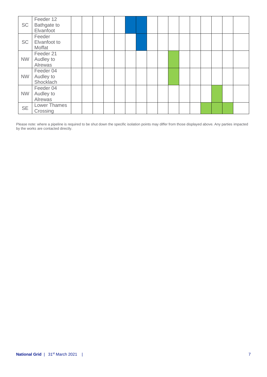| <b>SC</b> | Feeder 12<br><b>Bathgate to</b><br>Elvanfoot |  |  |  |  |  |  |  |  |
|-----------|----------------------------------------------|--|--|--|--|--|--|--|--|
| <b>SC</b> | Feeder<br>Elvanfoot to<br>Moffat             |  |  |  |  |  |  |  |  |
| <b>NW</b> | Feeder 21<br>Audley to<br>Alrewas            |  |  |  |  |  |  |  |  |
| <b>NW</b> | Feeder 04<br>Audley to<br>Shocklach          |  |  |  |  |  |  |  |  |
| <b>NW</b> | Feeder 04<br>Audley to<br>Alrewas            |  |  |  |  |  |  |  |  |
| <b>SE</b> | <b>Lower Thames</b><br>Crossing              |  |  |  |  |  |  |  |  |

Please note: where a pipeline is required to be shut down the specific isolation points may differ from those displayed above. Any parties impacted by the works are contacted directly.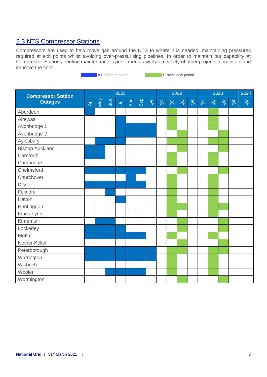### 2.3 NTS Compressor Stations

Compressors are used to help move gas around the NTS to where it is needed, maintaining pressures required at exit points whilst avoiding over-pressurising pipelines. In order to maintain our capability at Compressor Stations, routine maintenance is performed as well as a variety of other projects to maintain and improve the fleet.

external = Confirmed period = Provisional period

**Compressor Station Outages** 2021 2022 2023 2024 Apr May Jun  $\bar{B}$ Aug Sep  $\beta$  $\overline{a}$ Q2  $\mathcal{C}$  $\overline{d}$  $\overline{a}$ Q2 Q3  $\beta$  $\overline{\sigma}$ Aberdeen Alrewas Avonbridge 1 Avonbridge 2 Aylesbury Bishop Auckland **Carnforth Cambridge Chelmsford Churchover** Diss Felindre Hatton Huntingdon Kings Lynn Kirriemuir Lockerley Moffat Nether Kellet **Peterborough Warrington Wisbech** Wooler **Wormington**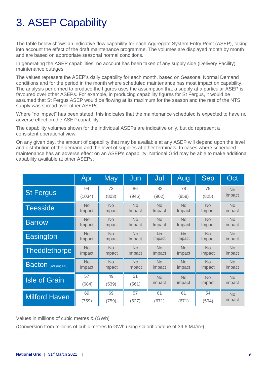# 3. ASEP Capability

The table below shows an indicative flow capability for each Aggregate System Entry Point (ASEP), taking into account the effect of the draft maintenance programme. The volumes are displayed month by month and are based on appropriate seasonal normal conditions.

In generating the ASEP capabilities, no account has been taken of any supply side (Delivery Facility) maintenance outages.

The values represent the ASEP's daily capability for each month, based on Seasonal Normal Demand conditions and for the period in the month where scheduled maintenance has most impact on capability. The analysis performed to produce the figures uses the assumption that a supply at a particular ASEP is favoured over other ASEPs. For example, in producing capability figures for St Fergus, it would be assumed that St Fergus ASEP would be flowing at its maximum for the season and the rest of the NTS supply was spread over other ASEPs.

Where "no impact" has been stated, this indicates that the maintenance scheduled is expected to have no adverse effect on the ASEP capability.

The capability volumes shown for the individual ASEPs are indicative only, but do represent a consistent operational view.

On any given day, the amount of capability that may be available at any ASEP will depend upon the level and distribution of the demand and the level of supplies at other terminals. In cases where scheduled maintenance has an adverse effect on an ASEP's capability, National Grid may be able to make additional capability available at other ASEPs.

|                               | Apr         | <b>May</b>  | Jun         | Jul         | Aug         | Sep       | Oct                 |
|-------------------------------|-------------|-------------|-------------|-------------|-------------|-----------|---------------------|
| <b>St Fergus</b>              | 94          | 73          | 86          | 82          | 78          | 75        | <b>No</b><br>impact |
|                               | (1034)      | (803)       | (946)       | (902)       | (858)       | (825)     |                     |
| <b>Teesside</b>               | <b>No</b>   | <b>No</b>   | <b>No</b>   | <b>No</b>   | <b>No</b>   | <b>No</b> | <b>No</b>           |
|                               | Impact      | Impact      | Impact      | Impact      | Impact      | Impact    | impact              |
| <b>Barrow</b>                 | <b>No</b>   | <b>No</b>   | <b>No</b>   | <b>No</b>   | No          | <b>No</b> | <b>No</b>           |
|                               | Impact      | Impact      | Impact      | Impact      | Impact      | Impact    | impact              |
| Easington                     | <b>No</b>   | <b>No</b>   | <b>No</b>   | <b>No</b>   | <b>No</b>   | <b>No</b> | <b>No</b>           |
|                               | Impact      | Impact      | Impact      | Impact      | Impact      | Impact    | impact              |
| <b>Theddlethorpe</b>          | <b>No</b>   | <b>No</b>   | <b>No</b>   | <b>No</b>   | <b>No</b>   | <b>No</b> | <b>No</b>           |
|                               | Impact      | Impact      | Impact      | Impact      | Impact      | Impact    | impact              |
| <b>Bacton</b> (including IUK) | <b>No</b>   | <b>No</b>   | <b>No</b>   | <b>No</b>   | <b>No</b>   | <b>No</b> | <b>No</b>           |
|                               | impact      | impact      | impact      | impact      | impact      | impact    | impact              |
| <b>Isle of Grain</b>          | 57          | 49          | 51          | <b>No</b>   | <b>No</b>   | <b>No</b> | <b>No</b>           |
|                               | (684)       | (539)       | (561)       | impact      | impact      | impact    | impact              |
|                               |             |             |             |             |             | 54        |                     |
| <b>Milford Haven</b>          | 69<br>(759) | 69<br>(759) | 57<br>(627) | 61<br>(671) | 61<br>(671) | (594)     | <b>No</b><br>impact |

Values in millions of cubic metres & (GWh)

(Conversion from millions of cubic metres to GWh using Calorific Value of 39.6 MJ/m<sup>3</sup>)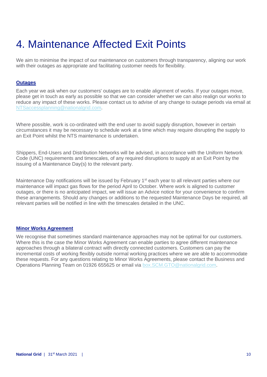# 4. Maintenance Affected Exit Points

We aim to minimise the impact of our maintenance on customers through transparency, aligning our work with their outages as appropriate and facilitating customer needs for flexibility.

#### **Outages**

Each year we ask when our customers' outages are to enable alignment of works. If your outages move, please get in touch as early as possible so that we can consider whether we can also realign our works to reduce any impact of these works. Please contact us to advise of any change to outage periods via email at [NTSaccessplanning@nationalgrid.com.](mailto:NTSaccessplanning@nationalgrid.com)

Where possible, work is co-ordinated with the end user to avoid supply disruption, however in certain circumstances it may be necessary to schedule work at a time which may require disrupting the supply to an Exit Point whilst the NTS maintenance is undertaken.

Shippers, End-Users and Distribution Networks will be advised, in accordance with the Uniform Network Code (UNC) requirements and timescales, of any required disruptions to supply at an Exit Point by the issuing of a Maintenance Day(s) to the relevant party.

Maintenance Day notifications will be issued by February  $1<sup>st</sup>$  each year to all relevant parties where our maintenance will impact gas flows for the period April to October. Where work is aligned to customer outages, or there is no anticipated impact, we will issue an Advice notice for your convenience to confirm these arrangements. Should any changes or additions to the requested Maintenance Days be required, all relevant parties will be notified in line with the timescales detailed in the UNC.

#### **Minor Works Agreement**

We recognise that sometimes standard maintenance approaches may not be optimal for our customers. Where this is the case the Minor Works Agreement can enable parties to agree different maintenance approaches through a bilateral contract with directly connected customers. Customers can pay the incremental costs of working flexibly outside normal working practices where we are able to accommodate these requests. For any questions relating to Minor Works Agreements, please contact the Business and Operations Planning Team on 01926 655625 or email via [box.SCM.GTO@nationalgrid.com.](mailto:box.SCM.GTO@nationalgrid.com)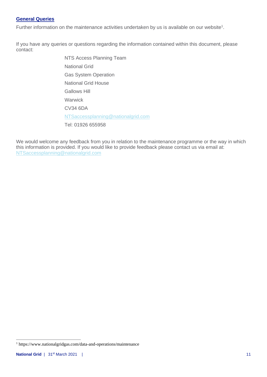#### **General Queries**

Further information on the maintenance activities undertaken by us is available on our website<sup>1</sup>.

If you have any queries or questions regarding the information contained within this document, please contact:

> NTS Access Planning Team National Grid Gas System Operation National Grid House Gallows Hill **Warwick** CV34 6DA [NTSaccessplanning@nationalgrid.com](mailto:NTSaccessplanning@nationalgrid.com) Tel: 01926 655958

We would welcome any feedback from you in relation to the maintenance programme or the way in which this information is provided. If you would like to provide feedback please contact us via email at: [NTSaccessplanning@nationalgrid.com](mailto:NTSaccessplanning@nationalgrid.com)

<sup>1</sup> https://www.nationalgridgas.com/data-and-operations/maintenance